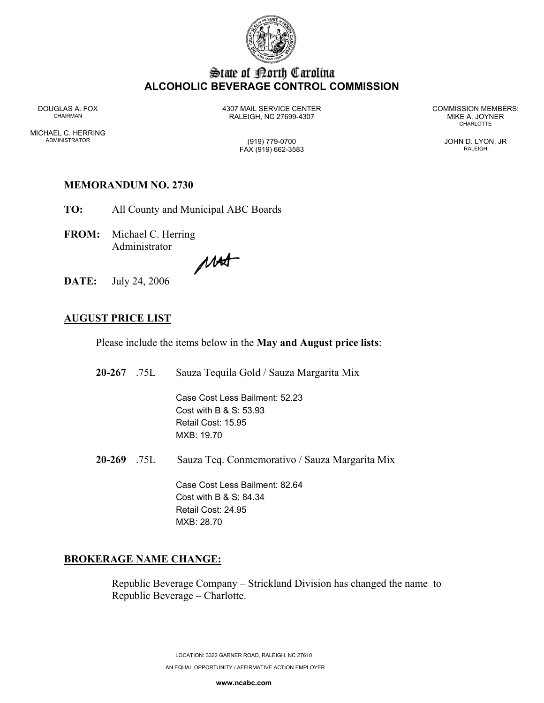

# State of Borth Carolina **ALCOHOLIC BEVERAGE CONTROL COMMISSION**

MICHAEL C. HERRING ADMINISTRATOR (919) 779-0700 JOHN D. LYON, JR

DOUGLAS A. FOX 4307 MAIL SERVICE CENTER COMMISSION MEMBERS: CHAIRMAN RALEIGH, NC 27699-4307 MIKE A. JOYNER

**CHARLOTTE** 

FAX (919) 662-3583 RALEIGH

## **MEMORANDUM NO. 2730**

**TO:** All County and Municipal ABC Boards

**FROM:** Michael C. Herring Administrator

MAS

**DATE:** July 24, 2006

### **AUGUST PRICE LIST**

Please include the items below in the **May and August price lists**:

| $20-267$ .75L | Sauza Tequila Gold / Sauza Margarita Mix                                                        |
|---------------|-------------------------------------------------------------------------------------------------|
|               | Case Cost Less Bailment: 52.23<br>Cost with B $\&$ S: 53.93<br>Retail Cost: 15.95<br>MXB: 19.70 |
| $20-269$ .75L | Sauza Teq. Conmemorativo / Sauza Margarita Mix                                                  |
|               | Case Cost Less Bailment: 82.64<br>Cost with B & S: $84.34$<br>Retail Cost: 24.95<br>MXB: 28.70  |

#### **BROKERAGE NAME CHANGE:**

Republic Beverage Company – Strickland Division has changed the name to Republic Beverage – Charlotte.

> LOCATION: 3322 GARNER ROAD, RALEIGH, NC 27610 AN EQUAL OPPORTUNITY / AFFIRMATIVE ACTION EMPLOYER